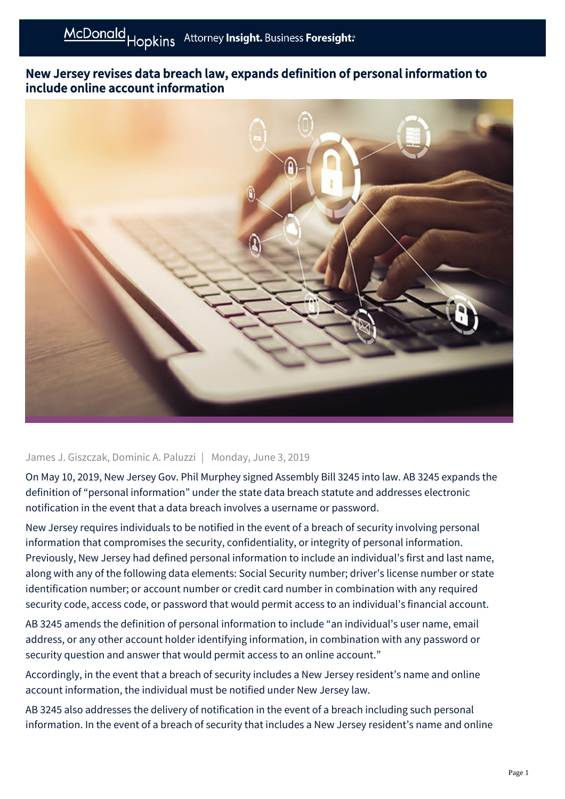## New Jersey revises data breach law, expands definition of personal information to include online account information



## James J. Giszczak, Dominic A. Paluzzi | Monday, June 3, 2019

On May 10, 2019, New Jersey Gov. Phil Murphey signed Assembly Bill 3245 into law. AB 3245 expands the definition of "personal information" under the state data breach statute and addresses electronic notification in the event that a data breach involves a username or password.

New Jersey requires individuals to be notified in the event of a breach of security involving personal information that compromises the security, confidentiality, or integrity of personal information. Previously, New Jersey had defined personal information to include an individual's first and last name, along with any of the following data elements: Social Security number; driver's license number or state identification number; or account number or credit card number in combination with any required security code, access code, or password that would permit access to an individual's financial account.

AB 3245 amends the definition of personal information to include "an individual's user name, email address, or any other account holder identifying information, in combination with any password or security question and answer that would permit access to an online account."

Accordingly, in the event that a breach of security includes a New Jersey resident's name and online account information, the individual must be notified under New Jersey law.

AB 3245 also addresses the delivery of notification in the event of a breach including such personal information. In the event of a breach of security that includes a New Jersey resident's name and online